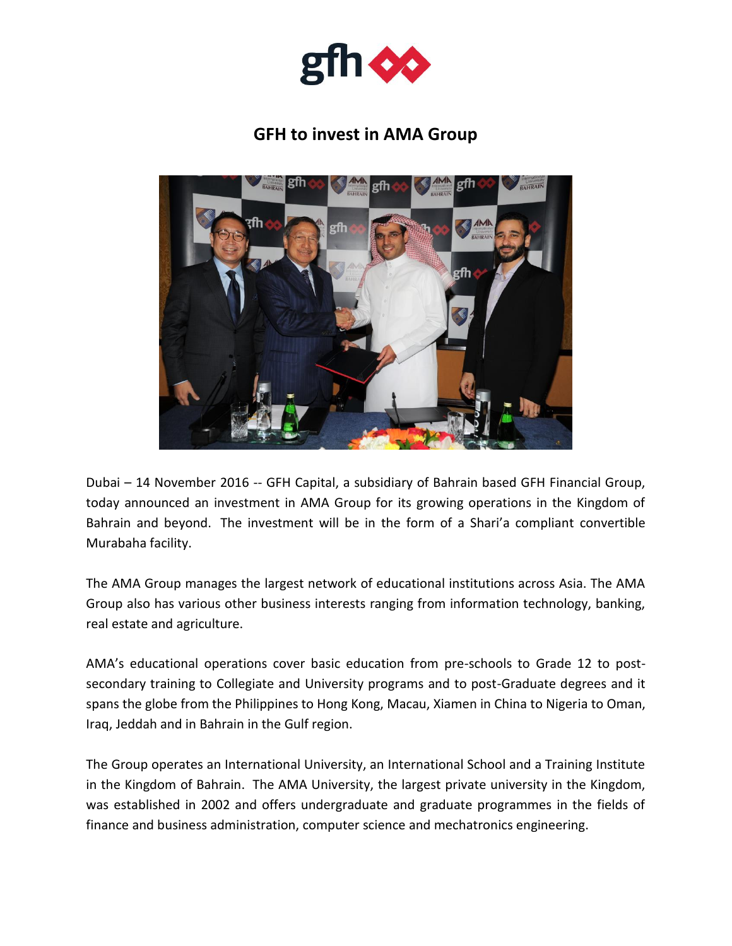

## **GFH to invest in AMA Group**



Dubai – 14 November 2016 -- GFH Capital, a subsidiary of Bahrain based GFH Financial Group, today announced an investment in AMA Group for its growing operations in the Kingdom of Bahrain and beyond. The investment will be in the form of a Shari'a compliant convertible Murabaha facility.

The AMA Group manages the largest network of educational institutions across Asia. The AMA Group also has various other business interests ranging from information technology, banking, real estate and agriculture.

AMA's educational operations cover basic education from pre-schools to Grade 12 to postsecondary training to Collegiate and University programs and to post-Graduate degrees and it spans the globe from the Philippines to Hong Kong, Macau, Xiamen in China to Nigeria to Oman, Iraq, Jeddah and in Bahrain in the Gulf region.

The Group operates an International University, an International School and a Training Institute in the Kingdom of Bahrain. The AMA University, the largest private university in the Kingdom, was established in 2002 and offers undergraduate and graduate programmes in the fields of finance and business administration, computer science and mechatronics engineering.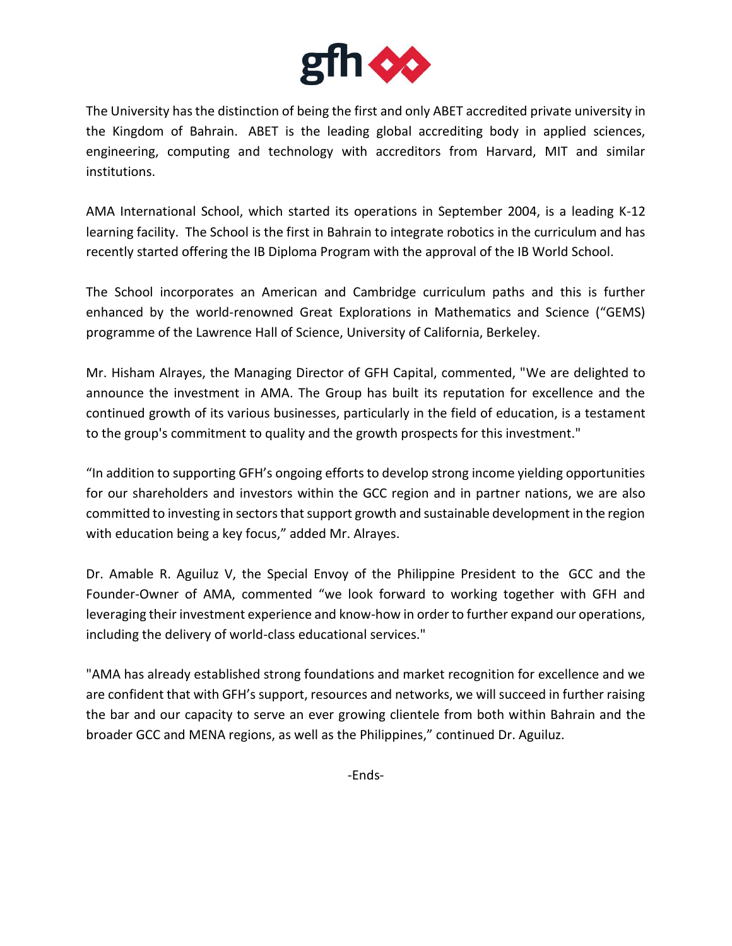

The University has the distinction of being the first and only ABET accredited private university in the Kingdom of Bahrain. ABET is the leading global accrediting body in applied sciences, engineering, computing and technology with accreditors from Harvard, MIT and similar institutions.

AMA International School, which started its operations in September 2004, is a leading K-12 learning facility. The School is the first in Bahrain to integrate robotics in the curriculum and has recently started offering the IB Diploma Program with the approval of the IB World School.

The School incorporates an American and Cambridge curriculum paths and this is further enhanced by the world-renowned Great Explorations in Mathematics and Science ("GEMS) programme of the Lawrence Hall of Science, University of California, Berkeley.

Mr. Hisham Alrayes, the Managing Director of GFH Capital, commented, "We are delighted to announce the investment in AMA. The Group has built its reputation for excellence and the continued growth of its various businesses, particularly in the field of education, is a testament to the group's commitment to quality and the growth prospects for this investment."

"In addition to supporting GFH's ongoing efforts to develop strong income yielding opportunities for our shareholders and investors within the GCC region and in partner nations, we are also committed to investing in sectors that support growth and sustainable development in the region with education being a key focus," added Mr. Alrayes.

Dr. Amable R. Aguiluz V, the Special Envoy of the Philippine President to the GCC and the Founder-Owner of AMA, commented "we look forward to working together with GFH and leveraging their investment experience and know-how in order to further expand our operations, including the delivery of world-class educational services."

"AMA has already established strong foundations and market recognition for excellence and we are confident that with GFH's support, resources and networks, we will succeed in further raising the bar and our capacity to serve an ever growing clientele from both within Bahrain and the broader GCC and MENA regions, as well as the Philippines," continued Dr. Aguiluz.

-Ends-